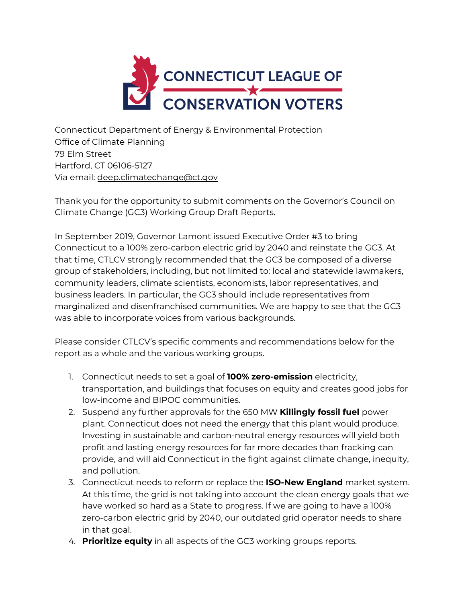

Connecticut Department of Energy & Environmental Protection Office of Climate Planning 79 Elm Street Hartford, CT 06106-5127 Via email: [deep.climatechange@ct.gov](mailto:deep.climatechange@ct.gov)

Thank you for the opportunity to submit comments on the Governor's Council on Climate Change (GC3) Working Group Draft Reports.

In September 2019, Governor Lamont issued Executive Order #3 to bring Connecticut to a 100% zero-carbon electric grid by 2040 and reinstate the GC3. At that time, CTLCV strongly recommended that the GC3 be composed of a diverse group of stakeholders, including, but not limited to: local and statewide lawmakers, community leaders, climate scientists, economists, labor representatives, and business leaders. In particular, the GC3 should include representatives from marginalized and disenfranchised communities. We are happy to see that the GC3 was able to incorporate voices from various backgrounds.

Please consider CTLCV's specific comments and recommendations below for the report as a whole and the various working groups.

- 1. Connecticut needs to set a goal of **100% zero-emission** electricity, transportation, and buildings that focuses on equity and creates good jobs for low-income and BIPOC communities.
- 2. Suspend any further approvals for the 650 MW **Killingly fossil fuel** power plant. Connecticut does not need the energy that this plant would produce. Investing in sustainable and carbon-neutral energy resources will yield both profit and lasting energy resources for far more decades than fracking can provide, and will aid Connecticut in the fight against climate change, inequity, and pollution.
- 3. Connecticut needs to reform or replace the **ISO-New England** market system. At this time, the grid is not taking into account the clean energy goals that we have worked so hard as a State to progress. If we are going to have a 100% zero-carbon electric grid by 2040, our outdated grid operator needs to share in that goal.
- 4. **Prioritize equity** in all aspects of the GC3 working groups reports.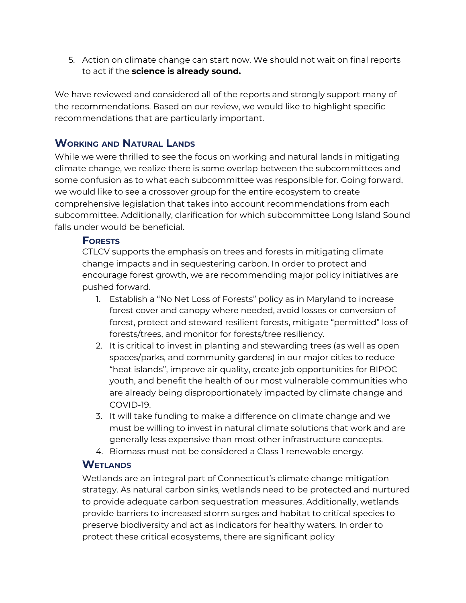5. Action on climate change can start now. We should not wait on final reports to act if the **science is already sound.**

We have reviewed and considered all of the reports and strongly support many of the recommendations. Based on our review, we would like to highlight specific recommendations that are particularly important.

## **WORKING AND NATURAL LANDS**

While we were thrilled to see the focus on working and natural lands in mitigating climate change, we realize there is some overlap between the subcommittees and some confusion as to what each subcommittee was responsible for. Going forward, we would like to see a crossover group for the entire ecosystem to create comprehensive legislation that takes into account recommendations from each subcommittee. Additionally, clarification for which subcommittee Long Island Sound falls under would be beneficial.

#### **FORESTS**

CTLCV supports the emphasis on trees and forests in mitigating climate change impacts and in sequestering carbon. In order to protect and encourage forest growth, we are recommending major policy initiatives are pushed forward.

- 1. Establish a "No Net Loss of Forests" policy as in Maryland to increase forest cover and canopy where needed, avoid losses or conversion of forest, protect and steward resilient forests, mitigate "permitted" loss of forests/trees, and monitor for forests/tree resiliency.
- 2. It is critical to invest in planting and stewarding trees (as well as open spaces/parks, and community gardens) in our major cities to reduce "heat islands", improve air quality, create job opportunities for BIPOC youth, and benefit the health of our most vulnerable communities who are already being disproportionately impacted by climate change and COVID-19.
- 3. It will take funding to make a difference on climate change and we must be willing to invest in natural climate solutions that work and are generally less expensive than most other infrastructure concepts.
- 4. Biomass must not be considered a Class 1 renewable energy.

#### **WETLANDS**

Wetlands are an integral part of Connecticut's climate change mitigation strategy. As natural carbon sinks, wetlands need to be protected and nurtured to provide adequate carbon sequestration measures. Additionally, wetlands provide barriers to increased storm surges and habitat to critical species to preserve biodiversity and act as indicators for healthy waters. In order to protect these critical ecosystems, there are significant policy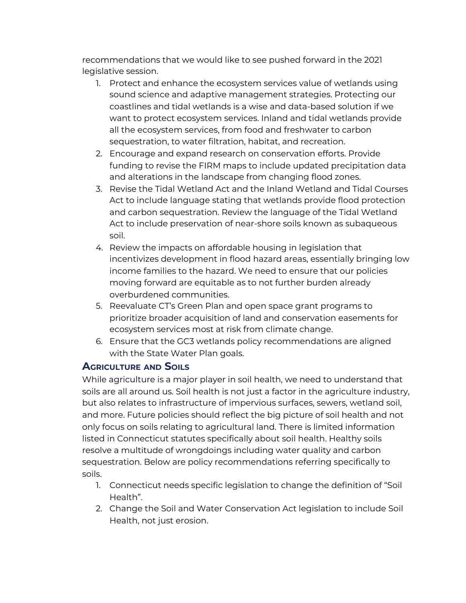recommendations that we would like to see pushed forward in the 2021 legislative session.

- 1. Protect and enhance the ecosystem services value of wetlands using sound science and adaptive management strategies. Protecting our coastlines and tidal wetlands is a wise and data-based solution if we want to protect ecosystem services. Inland and tidal wetlands provide all the ecosystem services, from food and freshwater to carbon sequestration, to water filtration, habitat, and recreation.
- 2. Encourage and expand research on conservation efforts. Provide funding to revise the FIRM maps to include updated precipitation data and alterations in the landscape from changing flood zones.
- 3. Revise the Tidal Wetland Act and the Inland Wetland and Tidal Courses Act to include language stating that wetlands provide flood protection and carbon sequestration. Review the language of the Tidal Wetland Act to include preservation of near-shore soils known as subaqueous soil.
- 4. Review the impacts on affordable housing in legislation that incentivizes development in flood hazard areas, essentially bringing low income families to the hazard. We need to ensure that our policies moving forward are equitable as to not further burden already overburdened communities.
- 5. Reevaluate CT's Green Plan and open space grant programs to prioritize broader acquisition of land and conservation easements for ecosystem services most at risk from climate change.
- 6. Ensure that the GC3 wetlands policy recommendations are aligned with the State Water Plan goals.

## **AGRICULTURE AND SOILS**

While agriculture is a major player in soil health, we need to understand that soils are all around us. Soil health is not just a factor in the agriculture industry, but also relates to infrastructure of impervious surfaces, sewers, wetland soil, and more. Future policies should reflect the big picture of soil health and not only focus on soils relating to agricultural land. There is limited information listed in Connecticut statutes specifically about soil health. Healthy soils resolve a multitude of wrongdoings including water quality and carbon sequestration. Below are policy recommendations referring specifically to soils.

- 1. Connecticut needs specific legislation to change the definition of "Soil Health".
- 2. Change the Soil and Water Conservation Act legislation to include Soil Health, not just erosion.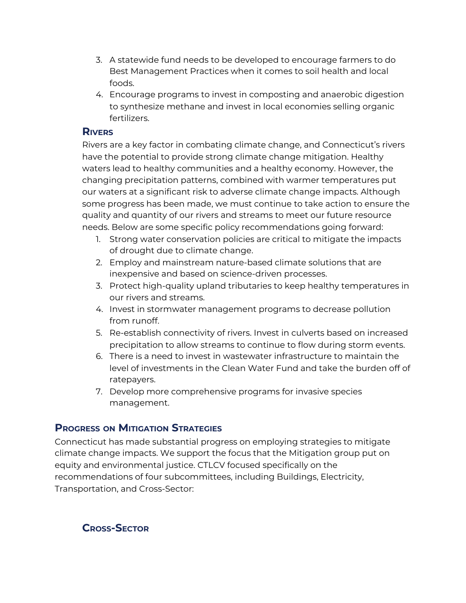- 3. A statewide fund needs to be developed to encourage farmers to do Best Management Practices when it comes to soil health and local foods.
- 4. Encourage programs to invest in composting and anaerobic digestion to synthesize methane and invest in local economies selling organic fertilizers.

#### **RIVERS**

Rivers are a key factor in combating climate change, and Connecticut's rivers have the potential to provide strong climate change mitigation. Healthy waters lead to healthy communities and a healthy economy. However, the changing precipitation patterns, combined with warmer temperatures put our waters at a significant risk to adverse climate change impacts. Although some progress has been made, we must continue to take action to ensure the quality and quantity of our rivers and streams to meet our future resource needs. Below are some specific policy recommendations going forward:

- 1. Strong water conservation policies are critical to mitigate the impacts of drought due to climate change.
- 2. Employ and mainstream nature-based climate solutions that are inexpensive and based on science-driven processes.
- 3. Protect high-quality upland tributaries to keep healthy temperatures in our rivers and streams.
- 4. Invest in stormwater management programs to decrease pollution from runoff.
- 5. Re-establish connectivity of rivers. Invest in culverts based on increased precipitation to allow streams to continue to flow during storm events.
- 6. There is a need to invest in wastewater infrastructure to maintain the level of investments in the Clean Water Fund and take the burden off of ratepayers.
- 7. Develop more comprehensive programs for invasive species management.

# **PROGRESS ON MITIGATION STRATEGIES**

Connecticut has made substantial progress on employing strategies to mitigate climate change impacts. We support the focus that the Mitigation group put on equity and environmental justice. CTLCV focused specifically on the recommendations of four subcommittees, including Buildings, Electricity, Transportation, and Cross-Sector:

**CROSS-SECTOR**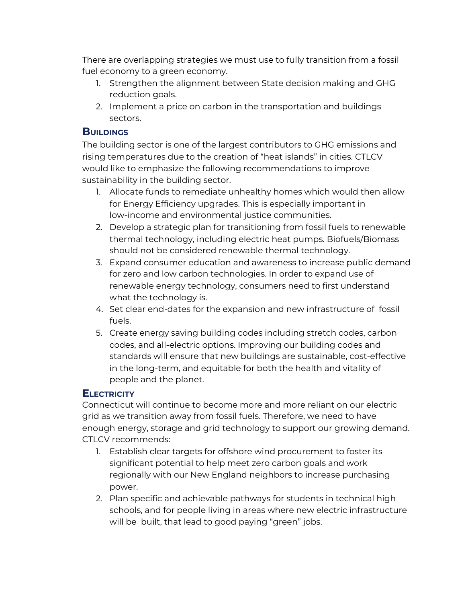There are overlapping strategies we must use to fully transition from a fossil fuel economy to a green economy.

- 1. Strengthen the alignment between State decision making and GHG reduction goals.
- 2. Implement a price on carbon in the transportation and buildings sectors.

### **BUILDINGS**

The building sector is one of the largest contributors to GHG emissions and rising temperatures due to the creation of "heat islands" in cities. CTLCV would like to emphasize the following recommendations to improve sustainability in the building sector.

- 1. Allocate funds to remediate unhealthy homes which would then allow for Energy Efficiency upgrades. This is especially important in low-income and environmental justice communities.
- 2. Develop a strategic plan for transitioning from fossil fuels to renewable thermal technology, including electric heat pumps. Biofuels/Biomass should not be considered renewable thermal technology.
- 3. Expand consumer education and awareness to increase public demand for zero and low carbon technologies. In order to expand use of renewable energy technology, consumers need to first understand what the technology is.
- 4. Set clear end-dates for the expansion and new infrastructure of fossil fuels.
- 5. Create energy saving building codes including stretch codes, carbon codes, and all-electric options. Improving our building codes and standards will ensure that new buildings are sustainable, cost-effective in the long-term, and equitable for both the health and vitality of people and the planet.

## **ELECTRICITY**

Connecticut will continue to become more and more reliant on our electric grid as we transition away from fossil fuels. Therefore, we need to have enough energy, storage and grid technology to support our growing demand. CTLCV recommends:

- 1. Establish clear targets for offshore wind procurement to foster its significant potential to help meet zero carbon goals and work regionally with our New England neighbors to increase purchasing power.
- 2. Plan specific and achievable pathways for students in technical high schools, and for people living in areas where new electric infrastructure will be built, that lead to good paying "green" jobs.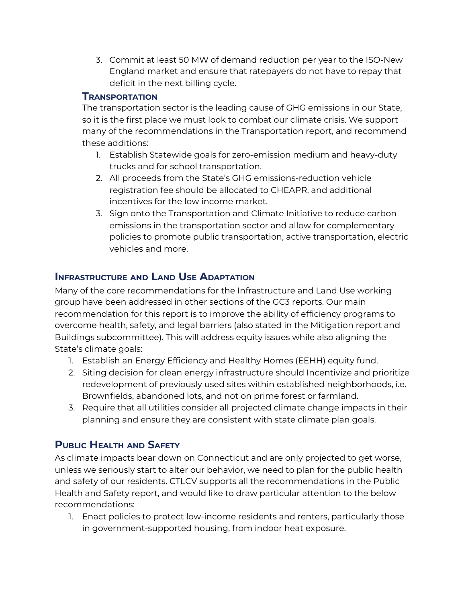3. Commit at least 50 MW of demand reduction per year to the ISO-New England market and ensure that ratepayers do not have to repay that deficit in the next billing cycle.

## **TRANSPORTATION**

The transportation sector is the leading cause of GHG emissions in our State, so it is the first place we must look to combat our climate crisis. We support many of the recommendations in the Transportation report, and recommend these additions:

- 1. Establish Statewide goals for zero-emission medium and heavy-duty trucks and for school transportation.
- 2. All proceeds from the State's GHG emissions-reduction vehicle registration fee should be allocated to CHEAPR, and additional incentives for the low income market.
- 3. Sign onto the Transportation and Climate Initiative to reduce carbon emissions in the transportation sector and allow for complementary policies to promote public transportation, active transportation, electric vehicles and more.

## **INFRASTRUCTURE AND LAND USE ADAPTATION**

Many of the core recommendations for the Infrastructure and Land Use working group have been addressed in other sections of the GC3 reports. Our main recommendation for this report is to improve the ability of efficiency programs to overcome health, safety, and legal barriers (also stated in the Mitigation report and Buildings subcommittee). This will address equity issues while also aligning the State's climate goals:

- 1. Establish an Energy Efficiency and Healthy Homes (EEHH) equity fund.
- 2. Siting decision for clean energy infrastructure should Incentivize and prioritize redevelopment of previously used sites within established neighborhoods, i.e. Brownfields, abandoned lots, and not on prime forest or farmland.
- 3. Require that all utilities consider all projected climate change impacts in their planning and ensure they are consistent with state climate plan goals.

# **PUBLIC HEALTH AND SAFETY**

As climate impacts bear down on Connecticut and are only projected to get worse, unless we seriously start to alter our behavior, we need to plan for the public health and safety of our residents. CTLCV supports all the recommendations in the Public Health and Safety report, and would like to draw particular attention to the below recommendations:

1. Enact policies to protect low-income residents and renters, particularly those in government-supported housing, from indoor heat exposure.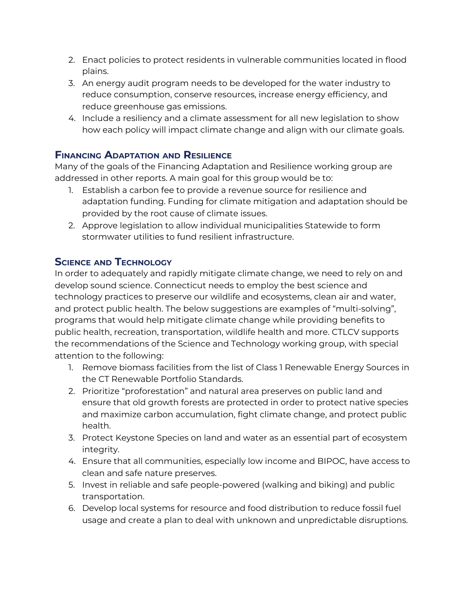- 2. Enact policies to protect residents in vulnerable communities located in flood plains.
- 3. An energy audit program needs to be developed for the water industry to reduce consumption, conserve resources, increase energy efficiency, and reduce greenhouse gas emissions.
- 4. Include a resiliency and a climate assessment for all new legislation to show how each policy will impact climate change and align with our climate goals.

#### **FINANCING ADAPTATION AND RESILIENCE**

Many of the goals of the Financing Adaptation and Resilience working group are addressed in other reports. A main goal for this group would be to:

- 1. Establish a carbon fee to provide a revenue source for resilience and adaptation funding. Funding for climate mitigation and adaptation should be provided by the root cause of climate issues.
- 2. Approve legislation to allow individual municipalities Statewide to form stormwater utilities to fund resilient infrastructure.

## **SCIENCE AND TECHNOLOGY**

In order to adequately and rapidly mitigate climate change, we need to rely on and develop sound science. Connecticut needs to employ the best science and technology practices to preserve our wildlife and ecosystems, clean air and water, and protect public health. The below suggestions are examples of "multi-solving", programs that would help mitigate climate change while providing benefits to public health, recreation, transportation, wildlife health and more. CTLCV supports the recommendations of the Science and Technology working group, with special attention to the following:

- 1. Remove biomass facilities from the list of Class 1 Renewable Energy Sources in the CT Renewable Portfolio Standards.
- 2. Prioritize "proforestation" and natural area preserves on public land and ensure that old growth forests are protected in order to protect native species and maximize carbon accumulation, fight climate change, and protect public health.
- 3. Protect Keystone Species on land and water as an essential part of ecosystem integrity.
- 4. Ensure that all communities, especially low income and BIPOC, have access to clean and safe nature preserves.
- 5. Invest in reliable and safe people-powered (walking and biking) and public transportation.
- 6. Develop local systems for resource and food distribution to reduce fossil fuel usage and create a plan to deal with unknown and unpredictable disruptions.